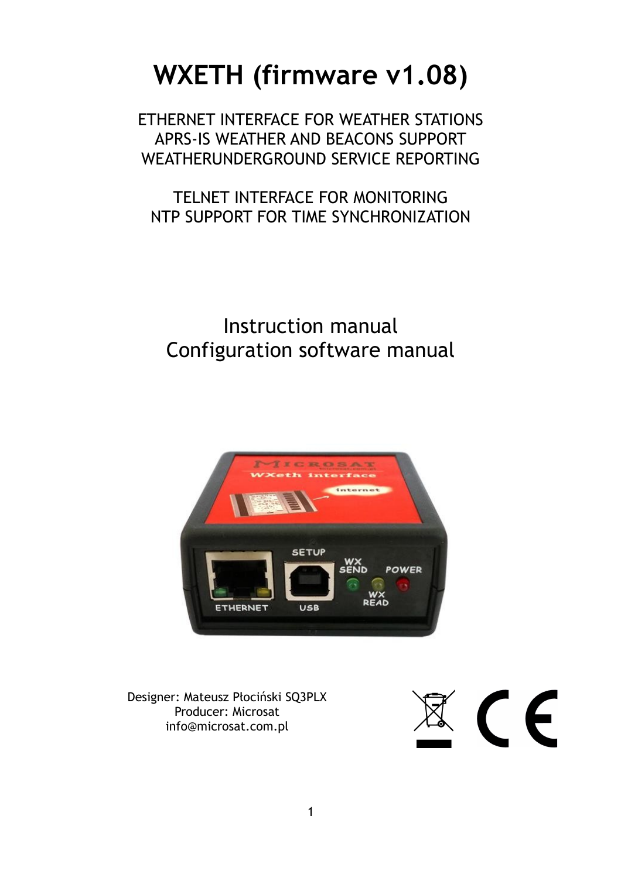# **WXETH (firmware v1.08)**

ETHERNET INTERFACE FOR WEATHER STATIONS APRS-IS WEATHER AND BEACONS SUPPORT WEATHERUNDERGROUND SERVICE REPORTING

TELNET INTERFACE FOR MONITORING NTP SUPPORT FOR TIME SYNCHRONIZATION

Instruction manual Configuration software manual



Designer: Mateusz Płociński SQ3PLX Producer: Microsat info@microsat.com.pl

 $\left( \begin{array}{c} 0 \\ 0 \end{array} \right)$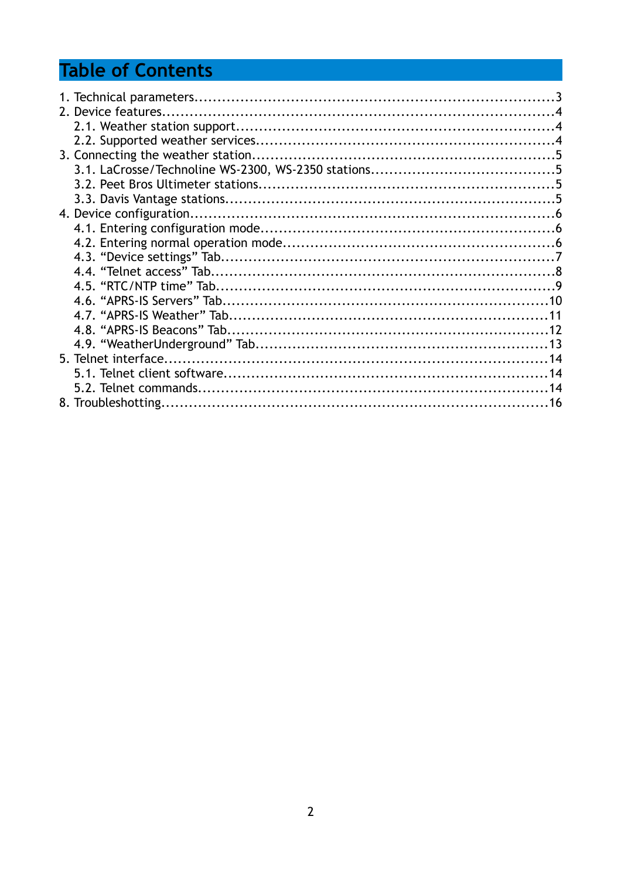## **Table of Contents**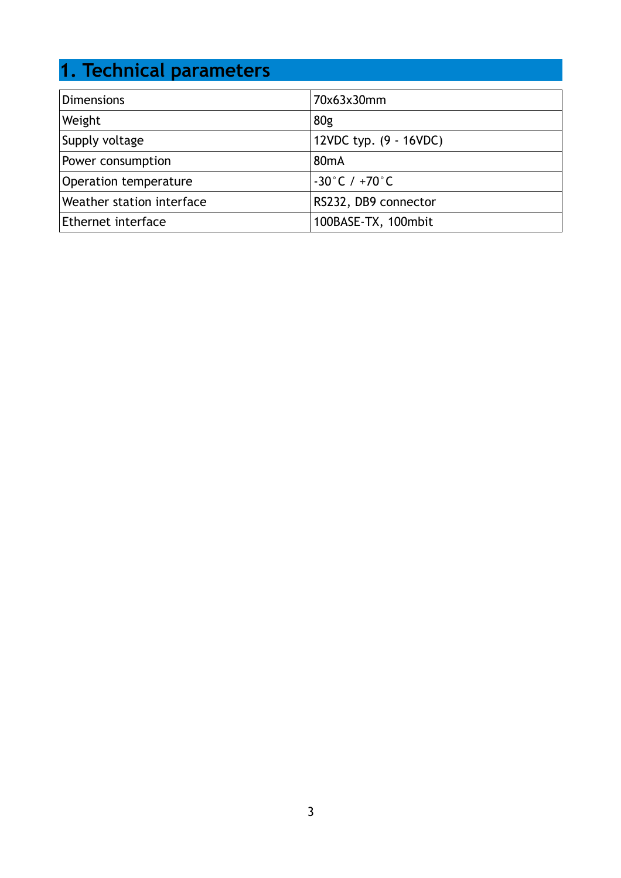## **1. Technical parameters**

| <b>Dimensions</b>         | 70x63x30mm                        |
|---------------------------|-----------------------------------|
| Weight                    | 80 <sub>g</sub>                   |
| Supply voltage            | 12VDC typ. (9 - 16VDC)            |
| Power consumption         | 80 <sub>m</sub> A                 |
| Operation temperature     | $-30^{\circ}$ C / $+70^{\circ}$ C |
| Weather station interface | RS232, DB9 connector              |
| Ethernet interface        | 100BASE-TX, 100mbit               |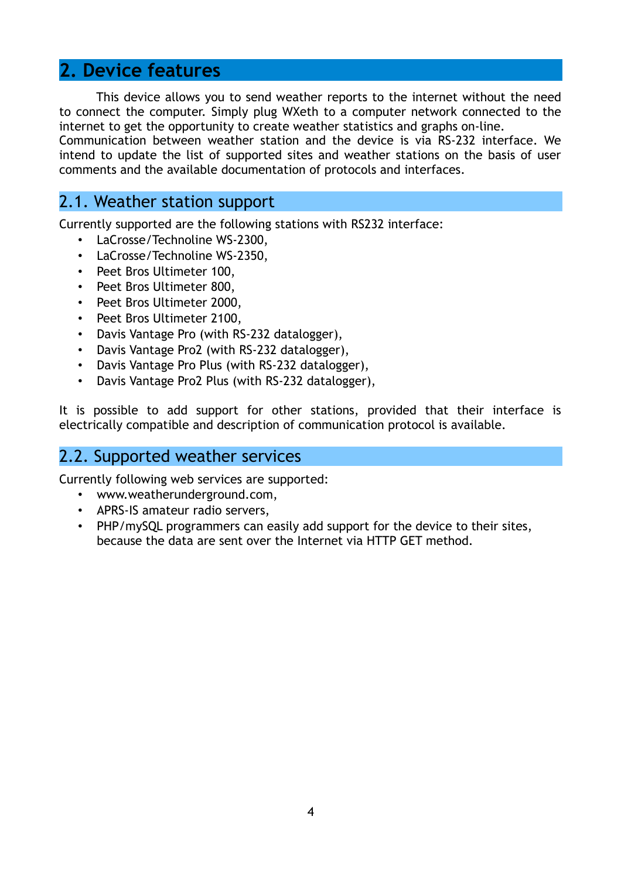#### **2. Device features**

This device allows you to send weather reports to the internet without the need to connect the computer. Simply plug WXeth to a computer network connected to the internet to get the opportunity to create weather statistics and graphs on-line.

Communication between weather station and the device is via RS-232 interface. We intend to update the list of supported sites and weather stations on the basis of user comments and the available documentation of protocols and interfaces.

#### 2.1. Weather station support

Currently supported are the following stations with RS232 interface:

- LaCrosse/Technoline WS-2300,
- LaCrosse/Technoline WS-2350,
- Peet Bros Ultimeter 100,
- Peet Bros Ultimeter 800,
- Peet Bros Ultimeter 2000,
- Peet Bros Ultimeter 2100,
- Davis Vantage Pro (with RS-232 datalogger),
- Davis Vantage Pro2 (with RS-232 datalogger),
- Davis Vantage Pro Plus (with RS-232 datalogger),
- Davis Vantage Pro2 Plus (with RS-232 datalogger),

It is possible to add support for other stations, provided that their interface is electrically compatible and description of communication protocol is available.

#### 2.2. Supported weather services

Currently following web services are supported:

- www.weatherunderground.com,
- APRS-IS amateur radio servers,
- PHP/mySQL programmers can easily add support for the device to their sites, because the data are sent over the Internet via HTTP GET method.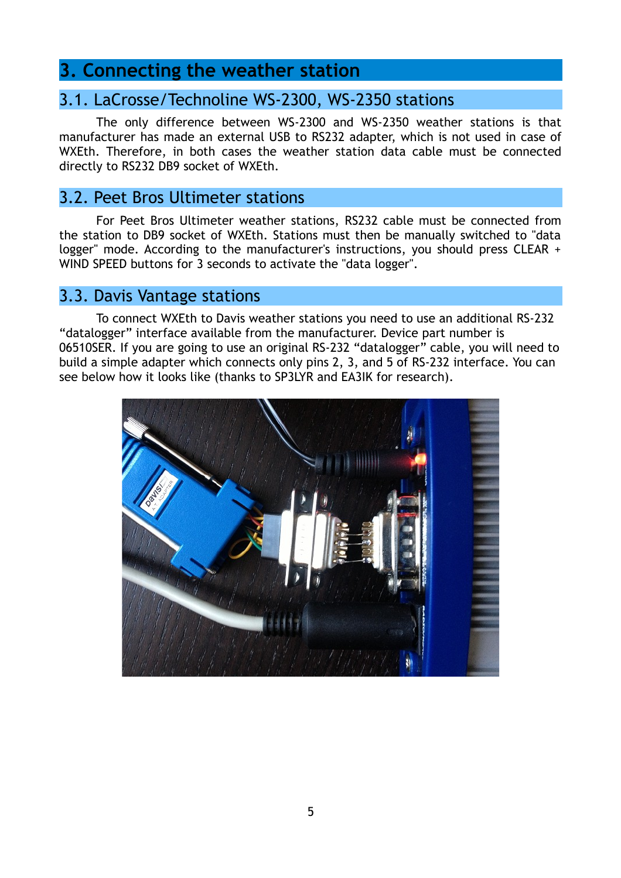#### **3. Connecting the weather station**

#### 3.1. LaCrosse/Technoline WS-2300, WS-2350 stations

The only difference between WS-2300 and WS-2350 weather stations is that manufacturer has made an external USB to RS232 adapter, which is not used in case of WXEth. Therefore, in both cases the weather station data cable must be connected directly to RS232 DB9 socket of WXEth.

#### 3.2. Peet Bros Ultimeter stations

For Peet Bros Ultimeter weather stations, RS232 cable must be connected from the station to DB9 socket of WXEth. Stations must then be manually switched to "data logger" mode. According to the manufacturer's instructions, you should press CLEAR + WIND SPEED buttons for 3 seconds to activate the "data logger".

#### 3.3. Davis Vantage stations

To connect WXEth to Davis weather stations you need to use an additional RS-232 "datalogger" interface available from the manufacturer. Device part number is 06510SER. If you are going to use an original RS-232 "datalogger" cable, you will need to build a simple adapter which connects only pins 2, 3, and 5 of RS-232 interface. You can see below how it looks like (thanks to SP3LYR and EA3IK for research).

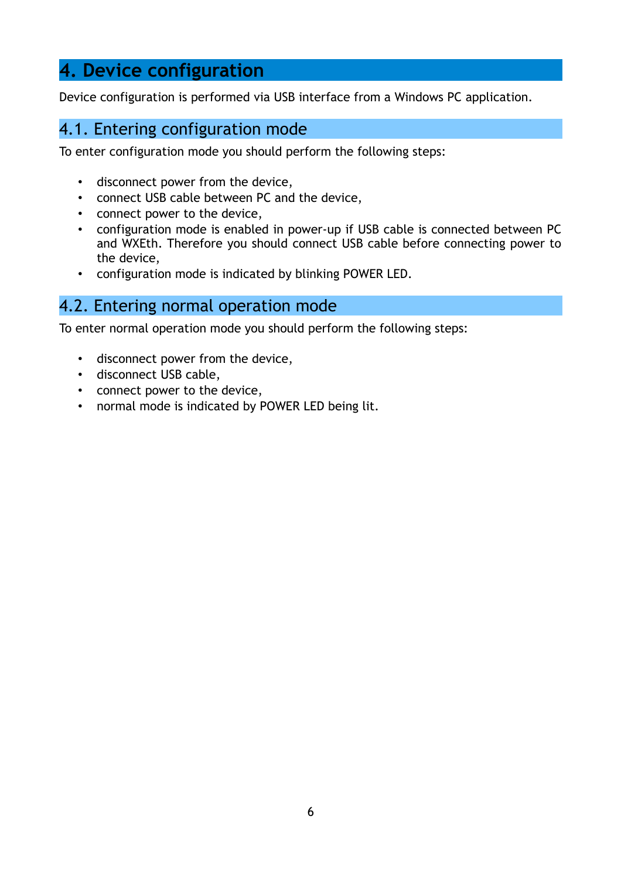### **4. Device configuration**

Device configuration is performed via USB interface from a Windows PC application.

#### 4.1. Entering configuration mode

To enter configuration mode you should perform the following steps:

- disconnect power from the device,
- connect USB cable between PC and the device,
- connect power to the device,
- configuration mode is enabled in power-up if USB cable is connected between PC and WXEth. Therefore you should connect USB cable before connecting power to the device,
- configuration mode is indicated by blinking POWER LED.

#### 4.2. Entering normal operation mode

To enter normal operation mode you should perform the following steps:

- disconnect power from the device,
- disconnect USB cable,
- connect power to the device,
- normal mode is indicated by POWER LED being lit.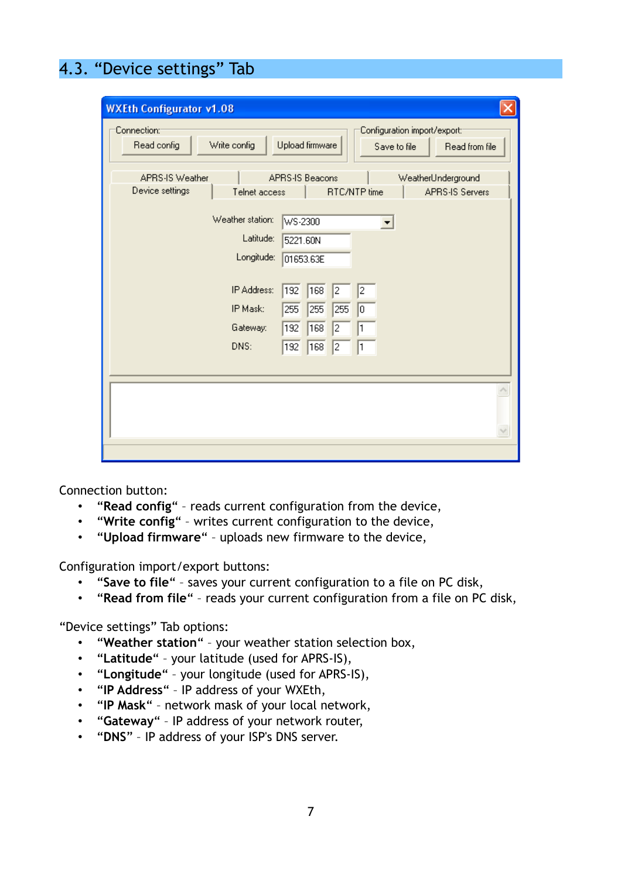### 4.3. "Device settings" Tab

| <b>WXEth Configurator v1.08</b>                     |                                                                                   |
|-----------------------------------------------------|-----------------------------------------------------------------------------------|
| Connection:<br>Write config<br>Read config          | Configuration import/export:<br>Upload firmware<br>Read from file<br>Save to file |
| APRS-IS Weather<br>Device settings<br>Telnet access | APRS-IS Beacons<br>WeatherUnderground<br>RTC/NTP time<br><b>APRS-IS Servers</b>   |
| Weather station:<br>Latitude:<br>Longitude:         | WS-2300<br>$\overline{\phantom{a}}$<br>5221.60N<br>01653.63E                      |
| IP Address:<br>IP Mask:<br>Gateway:                 | 192<br>168<br>2<br>2<br>255<br>255<br>255<br>$\boxed{0}$<br>168<br>2<br>192<br>1  |
| DNS:                                                | $\overline{2}$<br>168<br>192<br>1                                                 |
|                                                     |                                                                                   |

Connection button:

- "**Read config**" reads current configuration from the device,
- "**Write config**" writes current configuration to the device,
- "**Upload firmware**" uploads new firmware to the device,

Configuration import/export buttons:

- "**Save to file**" saves your current configuration to a file on PC disk,
- "**Read from file**" reads your current configuration from a file on PC disk,

"Device settings" Tab options:

- "**Weather station**" your weather station selection box,
- "**Latitude**" your latitude (used for APRS-IS),
- "**Longitude**" your longitude (used for APRS-IS),
- "**IP Address**" IP address of your WXEth,
- "**IP Mask**" network mask of your local network,
- "**Gateway**" IP address of your network router,
- "**DNS**" IP address of your ISP's DNS server.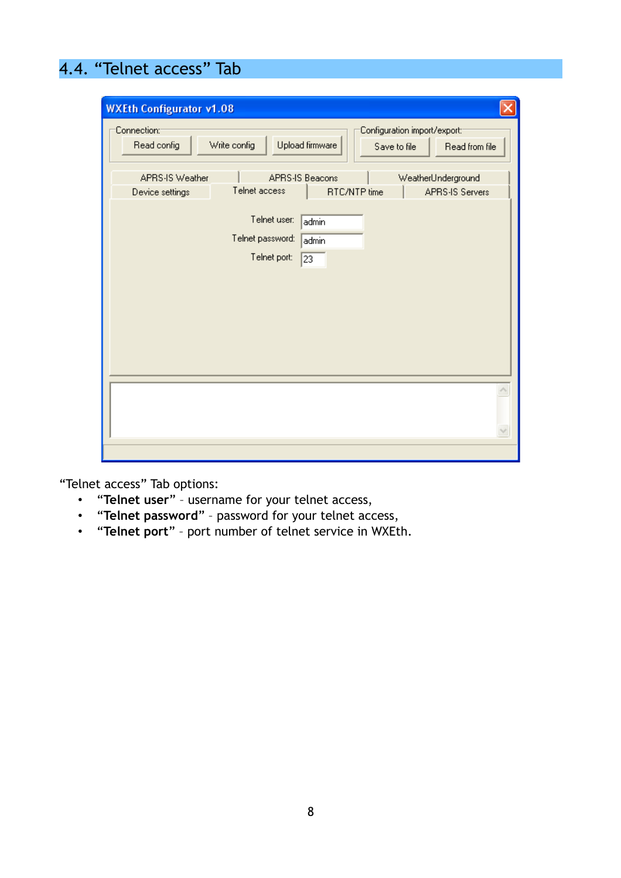### 4.4. "Telnet access" Tab

| <b>WXEth Configurator v1.08</b>    |                                                                                                   |  |
|------------------------------------|---------------------------------------------------------------------------------------------------|--|
| Connection:<br>Read config         | Configuration import/export:<br>Write config<br>Upload firmware<br>Read from file<br>Save to file |  |
| APRS-IS Weather<br>Device settings | APRS-IS Beacons<br>WeatherUnderground<br>Telnet access<br>RTC/NTP time<br><b>APRS-IS Servers</b>  |  |
|                                    | Telnet user:<br>admin<br>Telnet password:<br>admin<br>Telnet port:<br>23                          |  |
|                                    |                                                                                                   |  |
|                                    |                                                                                                   |  |

"Telnet access" Tab options:

- "**Telnet user**" username for your telnet access,
- "**Telnet password**" password for your telnet access,
- "**Telnet port**" port number of telnet service in WXEth.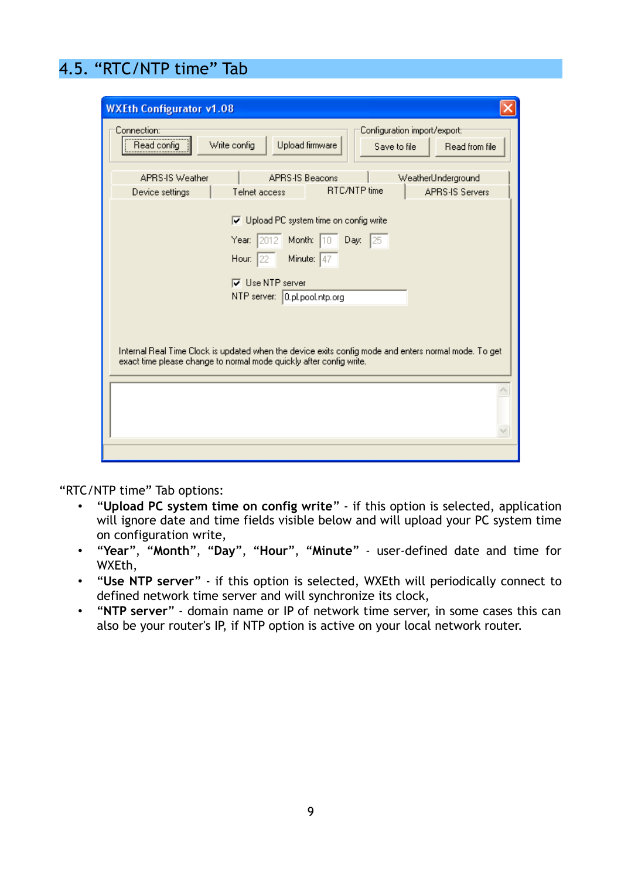### 4.5. "RTC/NTP time" Tab

| <b>WXEth Configurator v1.08</b>                                                                                                                                             |  |  |  |
|-----------------------------------------------------------------------------------------------------------------------------------------------------------------------------|--|--|--|
| Connection:<br>Configuration import/export:<br>Upload firmware<br>Write config<br>Read config<br>Read from file<br>Save to file                                             |  |  |  |
| <b>APRS-IS Weather</b><br><b>APRS-IS Beacons</b><br>WeatherUnderground                                                                                                      |  |  |  |
| <b>RTC/NTP</b> time<br><b>APRS-IS Servers</b><br>Telnet access<br>Device settings                                                                                           |  |  |  |
| □ Upload PC system time on config write                                                                                                                                     |  |  |  |
| Year: 2012 Month: 10 Day: 25                                                                                                                                                |  |  |  |
| Minute: $47$<br>Hour: $ 22 $                                                                                                                                                |  |  |  |
| $\nabla$ Use NTP server                                                                                                                                                     |  |  |  |
| NTP server: 0.pl.pool.ntp.org                                                                                                                                               |  |  |  |
|                                                                                                                                                                             |  |  |  |
| Internal Real Time Clock is updated when the device exits config mode and enters normal mode. To get<br>exact time please change to normal mode quickly after config write. |  |  |  |
|                                                                                                                                                                             |  |  |  |
|                                                                                                                                                                             |  |  |  |
|                                                                                                                                                                             |  |  |  |
|                                                                                                                                                                             |  |  |  |

"RTC/NTP time" Tab options:

- "**Upload PC system time on config write**" if this option is selected, application will ignore date and time fields visible below and will upload your PC system time on configuration write,
- "**Year**", "**Month**", "**Day**", "**Hour**", "**Minute**" user-defined date and time for WXEth,
- "**Use NTP server**" if this option is selected, WXEth will periodically connect to defined network time server and will synchronize its clock,
- "**NTP server**" domain name or IP of network time server, in some cases this can also be your router's IP, if NTP option is active on your local network router.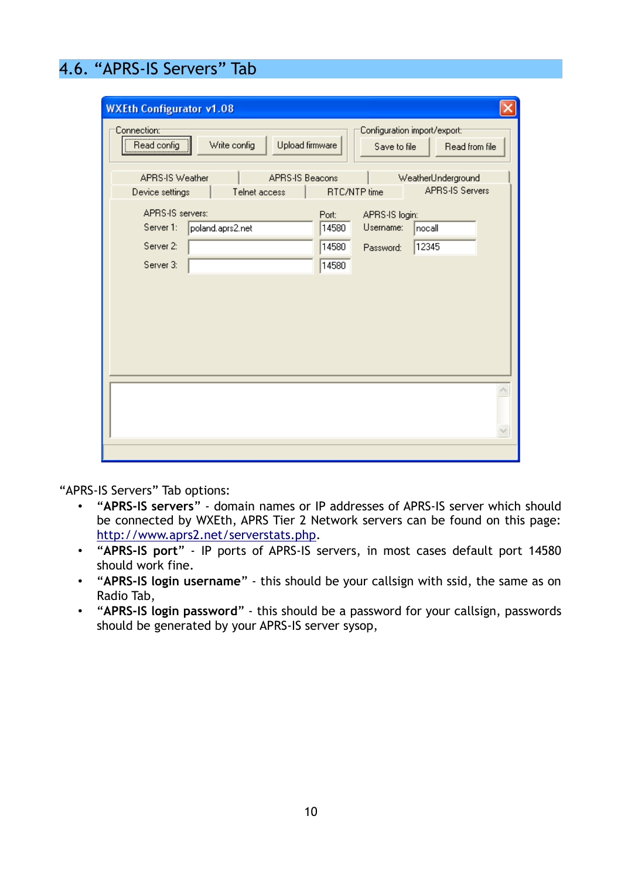### 4.6. "APRS-IS Servers" Tab

| <b>WXEth Configurator v1.08</b>                                               |                                                                                                 |
|-------------------------------------------------------------------------------|-------------------------------------------------------------------------------------------------|
| Connection::<br>,<br>Read config<br>Write config<br>Upload firmware           | Configuration import/export:<br>Read from file<br>Save to file                                  |
| <b>APRS-IS Weather</b><br>APRS-IS Beacons<br>Telnet access<br>Device settings | WeatherUnderground<br><b>APRS-IS Servers</b><br>RTC/NTP time                                    |
| APRS-IS servers:<br>Server 1:<br>poland.aprs2.net<br>Server 2:<br>Server 3:   | Port:<br>APRS-IS login:<br>Username:<br>14580<br>nocall<br>12345<br>14580<br>Password:<br>14580 |
|                                                                               |                                                                                                 |

"APRS-IS Servers" Tab options:

- "**APRS-IS servers**" domain names or IP addresses of APRS-IS server which should be connected by WXEth, APRS Tier 2 Network servers can be found on this page: [http://www.aprs2.net/serverstats.php.](http://www.aprs2.net/serverstats.php)
- "**APRS-IS port**" IP ports of APRS-IS servers, in most cases default port 14580 should work fine.
- "**APRS-IS login username**" this should be your callsign with ssid, the same as on Radio Tab,
- "**APRS-IS login password**" this should be a password for your callsign, passwords should be generated by your APRS-IS server sysop,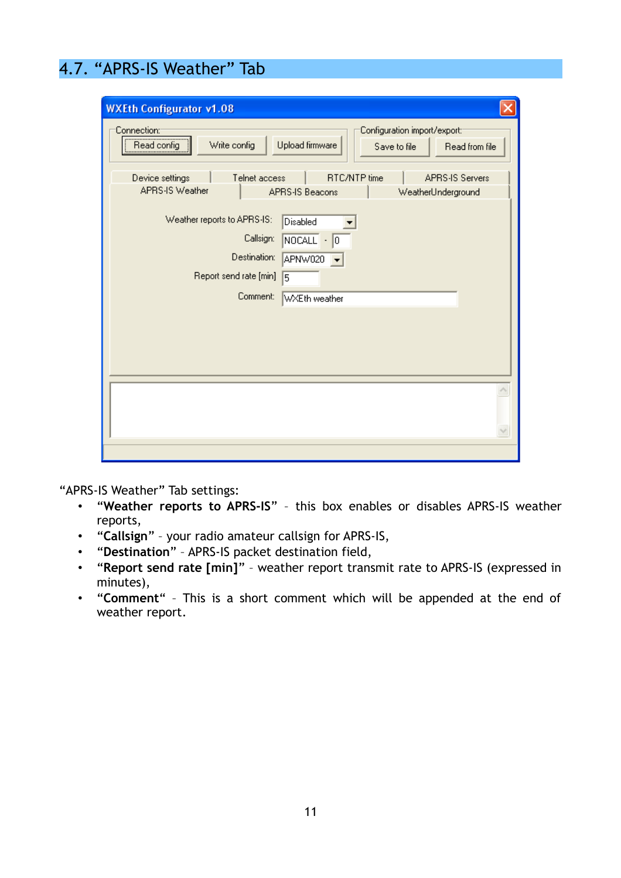### 4.7. "APRS-IS Weather" Tab

| <b>WXEth Configurator v1.08</b>                     |                                                                                   |
|-----------------------------------------------------|-----------------------------------------------------------------------------------|
| Connection:<br>Read config<br>Write config          | Configuration import/export:<br>Upload firmware<br>Save to file<br>Read from file |
| Device settings<br>Telnet access<br>APRS-IS Weather | RTC/NTP time<br><b>APRS-IS Servers</b><br>APRS-IS Beacons<br>WeatherUnderground   |
| Weather reports to APRS-IS:<br>Callsign:            | Disabled<br>NOCALL<br>$\cdot  0 $                                                 |
| Destination:<br>Report send rate [min]<br>Comment:  | APNW020<br>5<br>WXEth weather                                                     |
|                                                     |                                                                                   |
|                                                     |                                                                                   |
|                                                     |                                                                                   |
|                                                     |                                                                                   |

"APRS-IS Weather" Tab settings:

- "**Weather reports to APRS-IS**" this box enables or disables APRS-IS weather reports,
- "**Callsign**" your radio amateur callsign for APRS-IS,
- "**Destination**" APRS-IS packet destination field,
- "**Report send rate [min]**" weather report transmit rate to APRS-IS (expressed in minutes),
- "**Comment**" This is a short comment which will be appended at the end of weather report.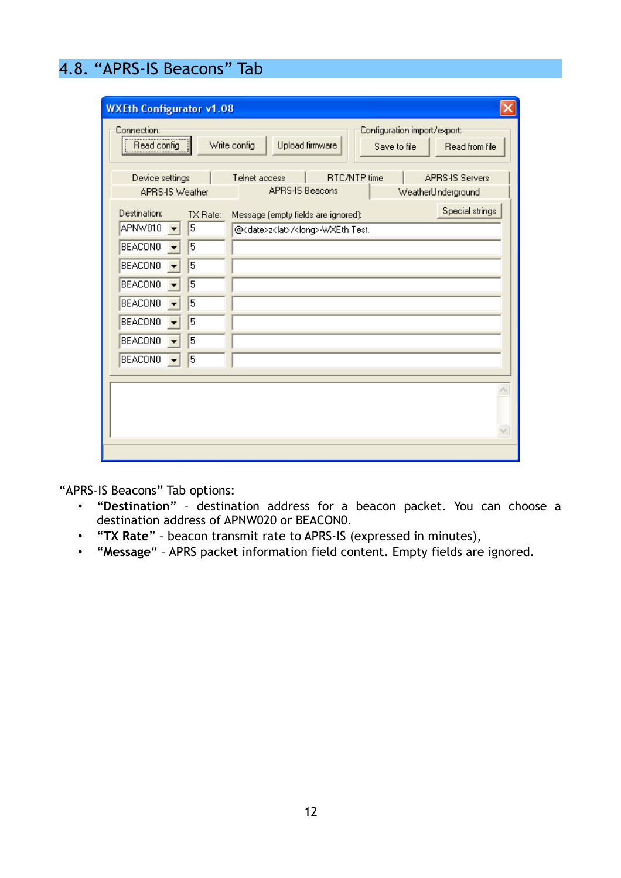### 4.8. "APRS-IS Beacons" Tab

| <b>WXEth Configurator v1.08</b><br>Connection:<br>,<br>Read config                                                                                    |                                                    | Configuration import/export:<br>Write config<br>Upload firmware<br>Save to file<br>Read from file               |  |
|-------------------------------------------------------------------------------------------------------------------------------------------------------|----------------------------------------------------|-----------------------------------------------------------------------------------------------------------------|--|
| Device settings<br><b>APRS-IS Weather</b>                                                                                                             |                                                    | RTC/NTP time<br><b>APRS-IS Servers</b><br>Telnet access<br><b>APRS-IS Beacons</b><br>WeatherUnderground         |  |
| Destination:<br>APNW010<br><b>BEACONO</b><br><b>BEACONO</b><br><b>BEACONO</b><br><b>BEACONO</b><br><b>BEACONO</b><br><b>BEACONO</b><br><b>BEACONO</b> | $TX$ Rate:<br>5<br>5<br>5<br>5<br>5<br>5<br>5<br>5 | Special strings<br>Message (empty fields are ignored):<br>@ <date>z<lat>/<long>-WXEth Test.</long></lat></date> |  |
|                                                                                                                                                       |                                                    |                                                                                                                 |  |

"APRS-IS Beacons" Tab options:

- "**Destination**" destination address for a beacon packet. You can choose a destination address of APNW020 or BEACON0.
- "**TX Rate**" beacon transmit rate to APRS-IS (expressed in minutes),
- "**Message**" APRS packet information field content. Empty fields are ignored.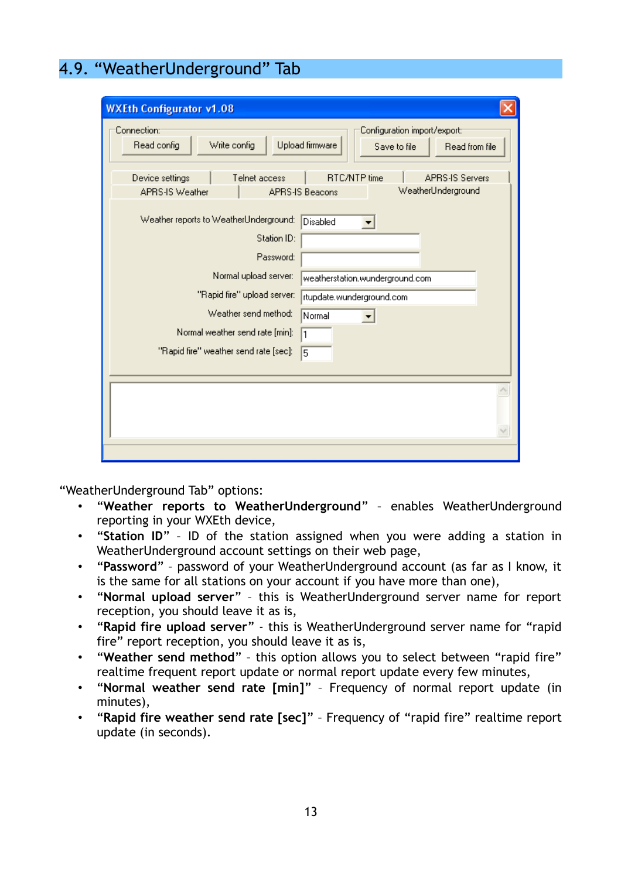### 4.9. "WeatherUnderground" Tab

| <b>WXEth Configurator v1.08</b>                                               |                                                                                   |
|-------------------------------------------------------------------------------|-----------------------------------------------------------------------------------|
| Connection: <sup>.</sup><br>Read config<br>Write config                       | Configuration import/export:<br>Upload firmware<br>Save to file<br>Read from file |
| Device settings<br>Telnet access<br><b>APRS-IS Weather</b><br>APRS-IS Beacons | <b>APRS-IS Servers</b><br>RTC/NTP time<br>WeatherUnderground                      |
| Weather reports to WeatherUnderground:<br>Station ID:<br>Password:            | Disabled                                                                          |
| Normal upload server:<br>"Rapid fire" upload server:                          | weatherstation.wunderground.com<br>rtupdate.wunderground.com                      |
| Weather send method:<br>Normal weather send rate [min]:<br>1                  | Normal                                                                            |
| "Rapid fire" weather send rate [sec]:                                         | 5                                                                                 |
|                                                                               |                                                                                   |
|                                                                               |                                                                                   |
|                                                                               |                                                                                   |

"WeatherUnderground Tab" options:

- "**Weather reports to WeatherUnderground**" enables WeatherUnderground reporting in your WXEth device,
- "**Station ID**" ID of the station assigned when you were adding a station in WeatherUnderground account settings on their web page,
- "**Password**" password of your WeatherUnderground account (as far as I know, it is the same for all stations on your account if you have more than one),
- "**Normal upload server**" this is WeatherUnderground server name for report reception, you should leave it as is,
- "**Rapid fire upload server**" this is WeatherUnderground server name for "rapid fire" report reception, you should leave it as is,
- "**Weather send method**" this option allows you to select between "rapid fire" realtime frequent report update or normal report update every few minutes,
- "**Normal weather send rate [min]**" Frequency of normal report update (in minutes),
- "**Rapid fire weather send rate [sec]**" Frequency of "rapid fire" realtime report update (in seconds).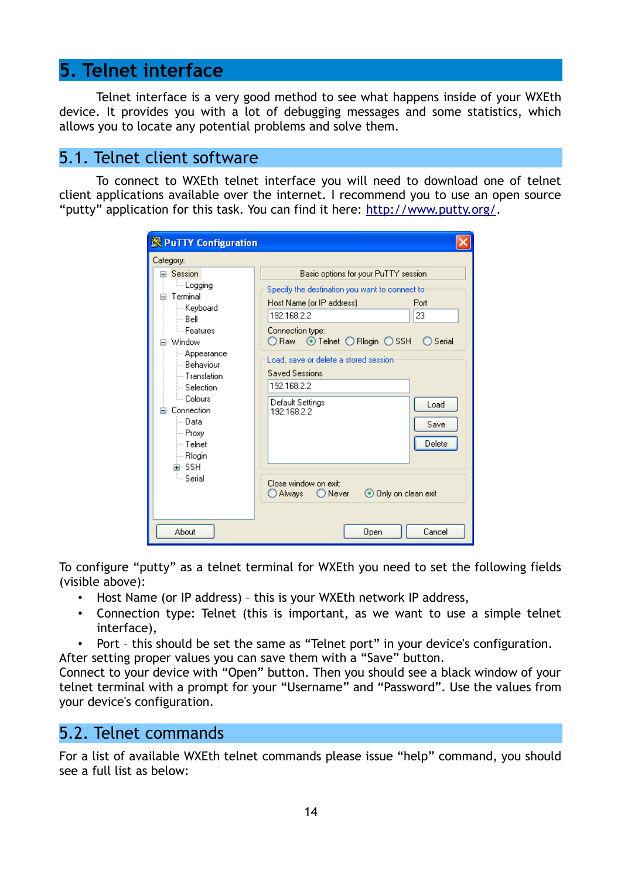### **5. Telnet interface**

Telnet interface is a very good method to see what happens inside of your WXEth device. It provides you with a lot of debugging messages and some statistics, which allows you to locate any potential problems and solve them.

#### 5.1. Telnet client software

To connect to WXEth telnet interface you will need to download one of telnet client applications available over the internet. I recommend you to use an open source "putty" application for this task. You can find it here: [http://www.putty.org/.](http://www.putty.org/)

| <b>S</b> PuTTY Configuration                                                                                                                                                                                                                                               |                                                                                                                                                                                                                                                                                                                                                                                                                                                                    |
|----------------------------------------------------------------------------------------------------------------------------------------------------------------------------------------------------------------------------------------------------------------------------|--------------------------------------------------------------------------------------------------------------------------------------------------------------------------------------------------------------------------------------------------------------------------------------------------------------------------------------------------------------------------------------------------------------------------------------------------------------------|
| Category:                                                                                                                                                                                                                                                                  |                                                                                                                                                                                                                                                                                                                                                                                                                                                                    |
| ⊟∝Session i<br>ille Logging<br>⊟⊹ Terminal.<br>⊱ Keyboard<br>l— Bell∶<br>ै– Features<br>⊟- Window<br>— Appearance<br>≔ Behaviour<br>$-$ Translation.<br>└─ Selection<br>≒– Colours<br>⊟- Connection.<br>l— Data<br>— Proxy<br>i— Telnet<br>∣— Rlogin<br>面- SSH<br>ं Serial | Basic options for your PuTTY session<br>Specify the destination you want to connect to<br>Host Name (or IP address)<br>Port<br>23<br>192.168.2.2<br>Connection type:<br>$\odot$ Telnet $\bigcirc$ Riogin $\bigcirc$ SSH<br>Serial<br>O Raw<br>Load, save or delete a stored session<br><b>Saved Sessions</b><br>192.168.2.2<br>Default Settings<br>Load<br>192.168.2.2<br>Save<br>Delete<br>Close window on exit:<br>⊙ Only on clean exit<br>○ Always –<br>◯ Never |
| About                                                                                                                                                                                                                                                                      | Cancel<br>Open                                                                                                                                                                                                                                                                                                                                                                                                                                                     |

To configure "putty" as a telnet terminal for WXEth you need to set the following fields (visible above):

- Host Name (or IP address) this is your WXEth network IP address,
- Connection type: Telnet (this is important, as we want to use a simple telnet interface),
- Port this should be set the same as "Telnet port" in your device's configuration.

After setting proper values you can save them with a "Save" button.

Connect to your device with "Open" button. Then you should see a black window of your telnet terminal with a prompt for your "Username" and "Password". Use the values from your device's configuration.

#### 5.2. Telnet commands

For a list of available WXEth telnet commands please issue "help" command, you should see a full list as below: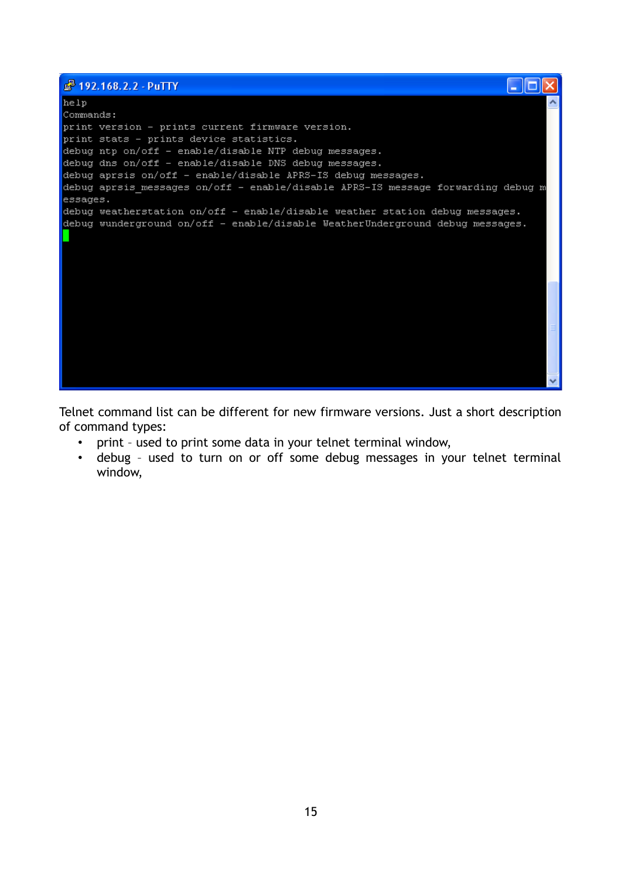| 8 192.168.2.2 - PuTTY                                                            |  |
|----------------------------------------------------------------------------------|--|
| help                                                                             |  |
| Commands:                                                                        |  |
| print version - prints current firmware version.                                 |  |
| print stats - prints device statistics.                                          |  |
| debug ntp on/off - enable/disable NTP debug messages.                            |  |
| debug dns on/off - enable/disable DNS debug messages.                            |  |
| debug aprsis on/off - enable/disable APRS-IS debug messages.                     |  |
| debug aprsis messages on/off - enable/disable APRS-IS message forwarding debug m |  |
| essages.                                                                         |  |
| debug weatherstation on/off - enable/disable weather station debug messages.     |  |
| debug wunderground on/off - enable/disable WeatherUnderground debug messages.    |  |
|                                                                                  |  |
|                                                                                  |  |
|                                                                                  |  |
|                                                                                  |  |
|                                                                                  |  |
|                                                                                  |  |
|                                                                                  |  |
|                                                                                  |  |
|                                                                                  |  |
|                                                                                  |  |
|                                                                                  |  |
|                                                                                  |  |
|                                                                                  |  |

Telnet command list can be different for new firmware versions. Just a short description of command types:

- print used to print some data in your telnet terminal window,
- debug used to turn on or off some debug messages in your telnet terminal window,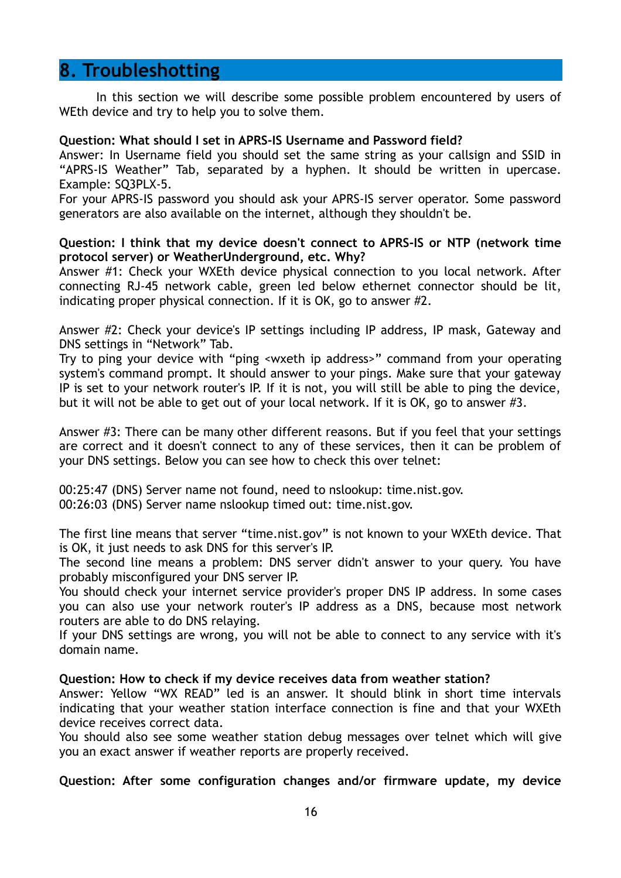### **8. Troubleshotting**

In this section we will describe some possible problem encountered by users of WEth device and try to help you to solve them.

#### **Question: What should I set in APRS-IS Username and Password field?**

Answer: In Username field you should set the same string as your callsign and SSID in "APRS-IS Weather" Tab, separated by a hyphen. It should be written in upercase. Example: SQ3PLX-5.

For your APRS-IS password you should ask your APRS-IS server operator. Some password generators are also available on the internet, although they shouldn't be.

#### **Question: I think that my device doesn't connect to APRS-IS or NTP (network time protocol server) or WeatherUnderground, etc. Why?**

Answer #1: Check your WXEth device physical connection to you local network. After connecting RJ-45 network cable, green led below ethernet connector should be lit, indicating proper physical connection. If it is OK, go to answer #2.

Answer #2: Check your device's IP settings including IP address, IP mask, Gateway and DNS settings in "Network" Tab.

Try to ping your device with "ping <wxeth ip address>" command from your operating system's command prompt. It should answer to your pings. Make sure that your gateway IP is set to your network router's IP. If it is not, you will still be able to ping the device, but it will not be able to get out of your local network. If it is OK, go to answer #3.

Answer #3: There can be many other different reasons. But if you feel that your settings are correct and it doesn't connect to any of these services, then it can be problem of your DNS settings. Below you can see how to check this over telnet:

00:25:47 (DNS) Server name not found, need to nslookup: time.nist.gov. 00:26:03 (DNS) Server name nslookup timed out: time.nist.gov.

The first line means that server "time.nist.gov" is not known to your WXEth device. That is OK, it just needs to ask DNS for this server's IP.

The second line means a problem: DNS server didn't answer to your query. You have probably misconfigured your DNS server IP.

You should check your internet service provider's proper DNS IP address. In some cases you can also use your network router's IP address as a DNS, because most network routers are able to do DNS relaying.

If your DNS settings are wrong, you will not be able to connect to any service with it's domain name.

#### **Question: How to check if my device receives data from weather station?**

Answer: Yellow "WX READ" led is an answer. It should blink in short time intervals indicating that your weather station interface connection is fine and that your WXEth device receives correct data.

You should also see some weather station debug messages over telnet which will give you an exact answer if weather reports are properly received.

#### **Question: After some configuration changes and/or firmware update, my device**